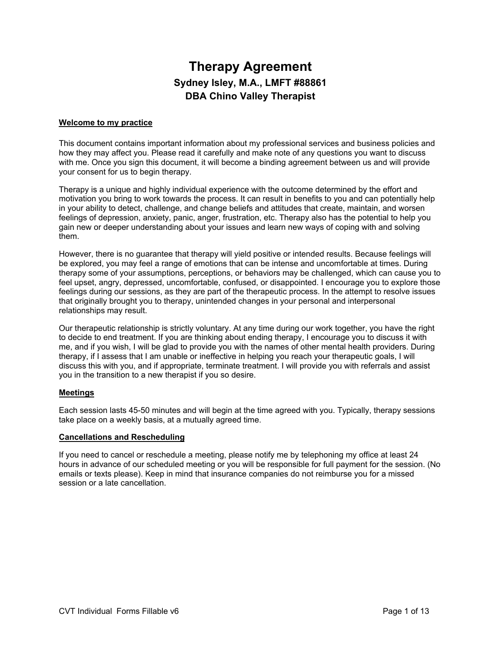# **Therapy Agreement Sydney Isley, M.A., LMFT #88861 DBA Chino Valley Therapist**

## **Welcome to my practice**

This document contains important information about my professional services and business policies and how they may affect you. Please read it carefully and make note of any questions you want to discuss with me. Once you sign this document, it will become a binding agreement between us and will provide your consent for us to begin therapy.

Therapy is a unique and highly individual experience with the outcome determined by the effort and motivation you bring to work towards the process. It can result in benefits to you and can potentially help in your ability to detect, challenge, and change beliefs and attitudes that create, maintain, and worsen feelings of depression, anxiety, panic, anger, frustration, etc. Therapy also has the potential to help you gain new or deeper understanding about your issues and learn new ways of coping with and solving them.

However, there is no guarantee that therapy will yield positive or intended results. Because feelings will be explored, you may feel a range of emotions that can be intense and uncomfortable at times. During therapy some of your assumptions, perceptions, or behaviors may be challenged, which can cause you to feel upset, angry, depressed, uncomfortable, confused, or disappointed. I encourage you to explore those feelings during our sessions, as they are part of the therapeutic process. In the attempt to resolve issues that originally brought you to therapy, unintended changes in your personal and interpersonal relationships may result.

Our therapeutic relationship is strictly voluntary. At any time during our work together, you have the right to decide to end treatment. If you are thinking about ending therapy, I encourage you to discuss it with me, and if you wish, I will be glad to provide you with the names of other mental health providers. During therapy, if I assess that I am unable or ineffective in helping you reach your therapeutic goals, I will discuss this with you, and if appropriate, terminate treatment. I will provide you with referrals and assist you in the transition to a new therapist if you so desire.

## **Meetings**

Each session lasts 45-50 minutes and will begin at the time agreed with you. Typically, therapy sessions take place on a weekly basis, at a mutually agreed time.

## **Cancellations and Rescheduling**

If you need to cancel or reschedule a meeting, please notify me by telephoning my office at least 24 hours in advance of our scheduled meeting or you will be responsible for full payment for the session. (No emails or texts please). Keep in mind that insurance companies do not reimburse you for a missed session or a late cancellation.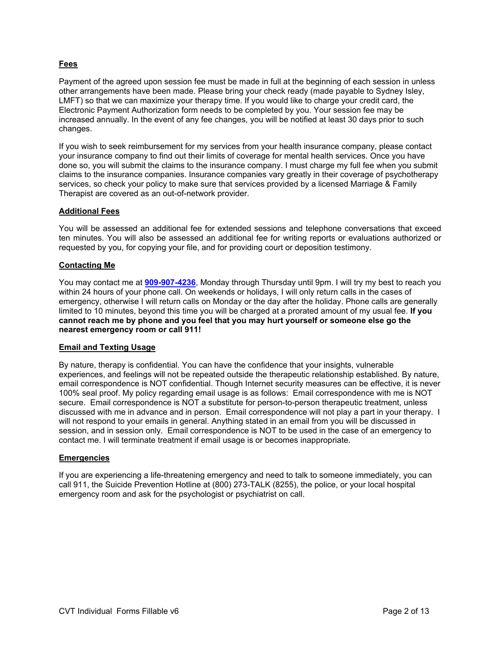# **Fees**

Payment of the agreed upon session fee must be made in full at the beginning of each session in unless other arrangements have been made. Please bring your check ready (made payable to Sydney Isley, LMFT) so that we can maximize your therapy time. If you would like to charge your credit card, the Electronic Payment Authorization form needs to be completed by you. Your session fee may be increased annually. In the event of any fee changes, you will be notified at least 30 days prior to such changes.

If you wish to seek reimbursement for my services from your health insurance company, please contact your insurance company to find out their limits of coverage for mental health services. Once you have done so, you will submit the claims to the insurance company. I must charge my full fee when you submit claims to the insurance companies. Insurance companies vary greatly in their coverage of psychotherapy services, so check your policy to make sure that services provided by a licensed Marriage & Family Therapist are covered as an out-of-network provider.

# **Additional Fees**

You will be assessed an additional fee for extended sessions and telephone conversations that exceed ten minutes. You will also be assessed an additional fee for writing reports or evaluations authorized or requested by you, for copying your file, and for providing court or deposition testimony.

## **Contacting Me**

You may contact me at **909-907-4236**, Monday through Thursday until 9pm. I will try my best to reach you within 24 hours of your phone call. On weekends or holidays, I will only return calls in the cases of emergency, otherwise I will return calls on Monday or the day after the holiday. Phone calls are generally limited to 10 minutes, beyond this time you will be charged at a prorated amount of my usual fee. **If you cannot reach me by phone and you feel that you may hurt yourself or someone else go the nearest emergency room or call 911!**

## **Email and Texting Usage**

By nature, therapy is confidential. You can have the confidence that your insights, vulnerable experiences, and feelings will not be repeated outside the therapeutic relationship established. By nature, email correspondence is NOT confidential. Though Internet security measures can be effective, it is never 100% seal proof. My policy regarding email usage is as follows: Email correspondence with me is NOT secure. Email correspondence is NOT a substitute for person-to-person therapeutic treatment, unless discussed with me in advance and in person. Email correspondence will not play a part in your therapy. I will not respond to your emails in general. Anything stated in an email from you will be discussed in session, and in session only. Email correspondence is NOT to be used in the case of an emergency to contact me. I will terminate treatment if email usage is or becomes inappropriate.

## **Emergencies**

If you are experiencing a life-threatening emergency and need to talk to someone immediately, you can call 911, the Suicide Prevention Hotline at (800) 273-TALK (8255), the police, or your local hospital emergency room and ask for the psychologist or psychiatrist on call.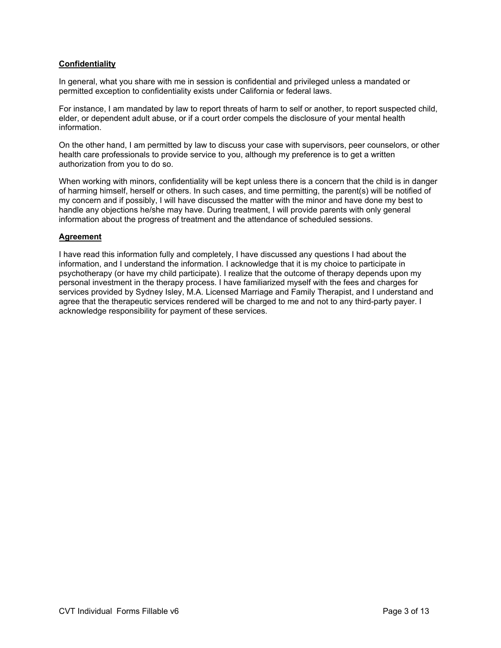# **Confidentiality**

In general, what you share with me in session is confidential and privileged unless a mandated or permitted exception to confidentiality exists under California or federal laws.

For instance, I am mandated by law to report threats of harm to self or another, to report suspected child, elder, or dependent adult abuse, or if a court order compels the disclosure of your mental health information.

On the other hand, I am permitted by law to discuss your case with supervisors, peer counselors, or other health care professionals to provide service to you, although my preference is to get a written authorization from you to do so.

When working with minors, confidentiality will be kept unless there is a concern that the child is in danger of harming himself, herself or others. In such cases, and time permitting, the parent(s) will be notified of my concern and if possibly, I will have discussed the matter with the minor and have done my best to handle any objections he/she may have. During treatment, I will provide parents with only general information about the progress of treatment and the attendance of scheduled sessions.

## **Agreement**

I have read this information fully and completely, I have discussed any questions I had about the information, and I understand the information. I acknowledge that it is my choice to participate in psychotherapy (or have my child participate). I realize that the outcome of therapy depends upon my personal investment in the therapy process. I have familiarized myself with the fees and charges for services provided by Sydney Isley, M.A. Licensed Marriage and Family Therapist, and I understand and agree that the therapeutic services rendered will be charged to me and not to any third-party payer. I acknowledge responsibility for payment of these services.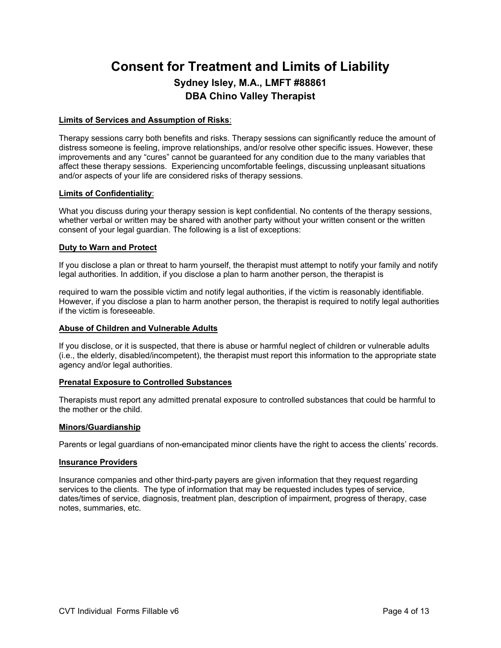# **Consent for Treatment and Limits of Liability Sydney Isley, M.A., LMFT #88861 DBA Chino Valley Therapist**

## **Limits of Services and Assumption of Risks**:

Therapy sessions carry both benefits and risks. Therapy sessions can significantly reduce the amount of distress someone is feeling, improve relationships, and/or resolve other specific issues. However, these improvements and any "cures" cannot be guaranteed for any condition due to the many variables that affect these therapy sessions. Experiencing uncomfortable feelings, discussing unpleasant situations and/or aspects of your life are considered risks of therapy sessions.

#### **Limits of Confidentiality**:

What you discuss during your therapy session is kept confidential. No contents of the therapy sessions, whether verbal or written may be shared with another party without your written consent or the written consent of your legal guardian. The following is a list of exceptions:

#### **Duty to Warn and Protect**

If you disclose a plan or threat to harm yourself, the therapist must attempt to notify your family and notify legal authorities. In addition, if you disclose a plan to harm another person, the therapist is

required to warn the possible victim and notify legal authorities, if the victim is reasonably identifiable. However, if you disclose a plan to harm another person, the therapist is required to notify legal authorities if the victim is foreseeable.

#### **Abuse of Children and Vulnerable Adults**

If you disclose, or it is suspected, that there is abuse or harmful neglect of children or vulnerable adults (i.e., the elderly, disabled/incompetent), the therapist must report this information to the appropriate state agency and/or legal authorities.

## **Prenatal Exposure to Controlled Substances**

Therapists must report any admitted prenatal exposure to controlled substances that could be harmful to the mother or the child.

#### **Minors/Guardianship**

Parents or legal guardians of non-emancipated minor clients have the right to access the clients' records.

#### **Insurance Providers**

Insurance companies and other third-party payers are given information that they request regarding services to the clients. The type of information that may be requested includes types of service, dates/times of service, diagnosis, treatment plan, description of impairment, progress of therapy, case notes, summaries, etc.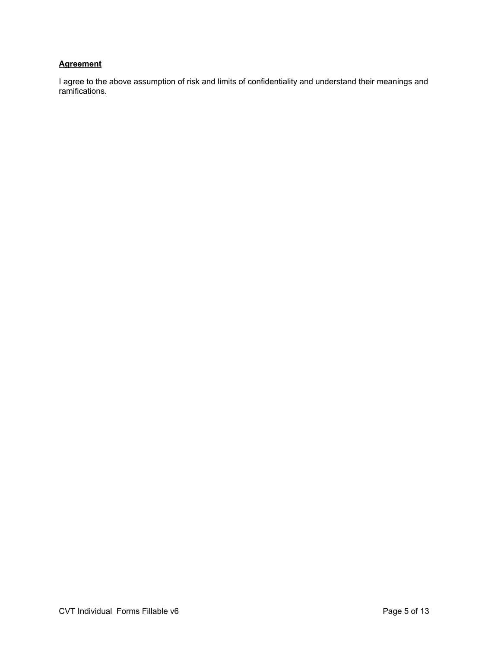# **Agreement**

I agree to the above assumption of risk and limits of confidentiality and understand their meanings and ramifications.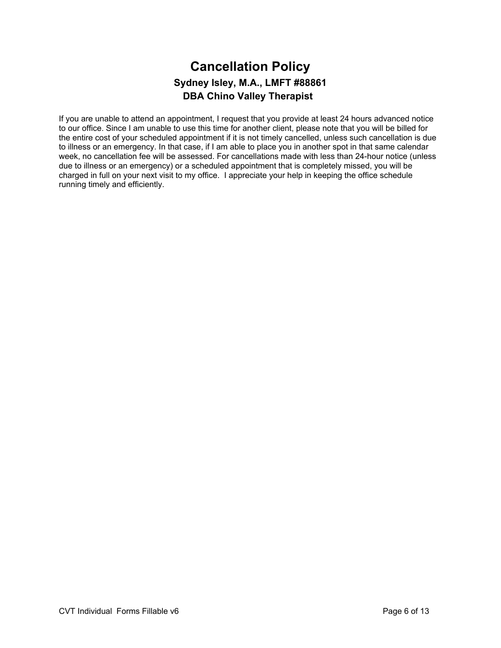# **Cancellation Policy Sydney Isley, M.A., LMFT #88861 DBA Chino Valley Therapist**

If you are unable to attend an appointment, I request that you provide at least 24 hours advanced notice to our office. Since I am unable to use this time for another client, please note that you will be billed for the entire cost of your scheduled appointment if it is not timely cancelled, unless such cancellation is due to illness or an emergency. In that case, if I am able to place you in another spot in that same calendar week, no cancellation fee will be assessed. For cancellations made with less than 24-hour notice (unless due to illness or an emergency) or a scheduled appointment that is completely missed, you will be charged in full on your next visit to my office. I appreciate your help in keeping the office schedule running timely and efficiently.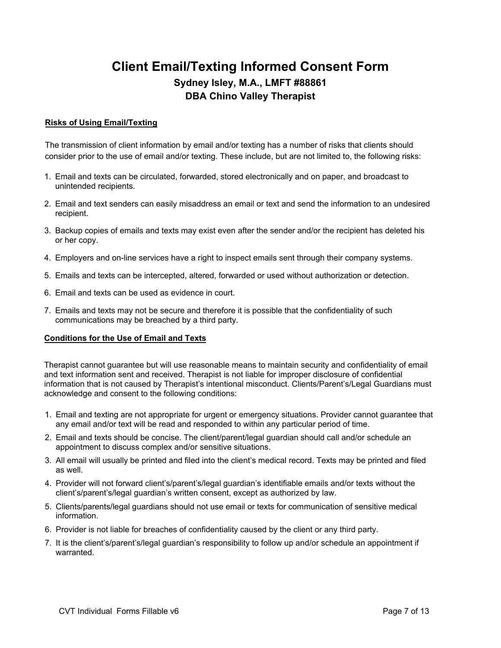# **Client Email/Texting Informed Consent Form Sydney Isley, M.A., LMFT #88861 DBA Chino Valley Therapist**

# **Risks of Using Email/Texting**

The transmission of client information by email and/or texting has a number of risks that clients should consider prior to the use of email and/or texting. These include, but are not limited to, the following risks:

- 1. Email and texts can be circulated, forwarded, stored electronically and on paper, and broadcast to unintended recipients.
- 2. Email and text senders can easily misaddress an email or text and send the information to an undesired recipient.
- 3. Backup copies of emails and texts may exist even after the sender and/or the recipient has deleted his or her copy.
- 4. Employers and on-line services have a right to inspect emails sent through their company systems.
- 5. Emails and texts can be intercepted, altered, forwarded or used without authorization or detection.
- 6. Email and texts can be used as evidence in court.
- 7. Emails and texts may not be secure and therefore it is possible that the confidentiality of such communications may be breached by a third party.

# **Conditions for the Use of Email and Texts**

Therapist cannot guarantee but will use reasonable means to maintain security and confidentiality of email and text information sent and received. Therapist is not liable for improper disclosure of confidential information that is not caused by Therapist's intentional misconduct. Clients/Parent's/Legal Guardians must acknowledge and consent to the following conditions:

- 1. Email and texting are not appropriate for urgent or emergency situations. Provider cannot guarantee that any email and/or text will be read and responded to within any particular period of time.
- 2. Email and texts should be concise. The client/parent/legal guardian should call and/or schedule an appointment to discuss complex and/or sensitive situations.
- 3. All email will usually be printed and filed into the client's medical record. Texts may be printed and filed as well.
- 4. Provider will not forward client's/parent's/legal guardian's identifiable emails and/or texts without the client's/parent's/legal guardian's written consent, except as authorized by law.
- 5. Clients/parents/legal guardians should not use email or texts for communication of sensitive medical information.
- 6. Provider is not liable for breaches of confidentiality caused by the client or any third party.
- 7. It is the client's/parent's/legal guardian's responsibility to follow up and/or schedule an appointment if warranted.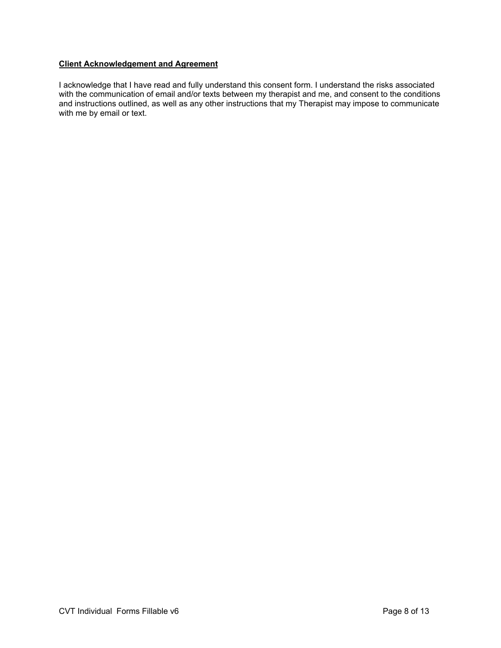# **Client Acknowledgement and Agreement**

I acknowledge that I have read and fully understand this consent form. I understand the risks associated with the communication of email and/or texts between my therapist and me, and consent to the conditions and instructions outlined, as well as any other instructions that my Therapist may impose to communicate with me by email or text.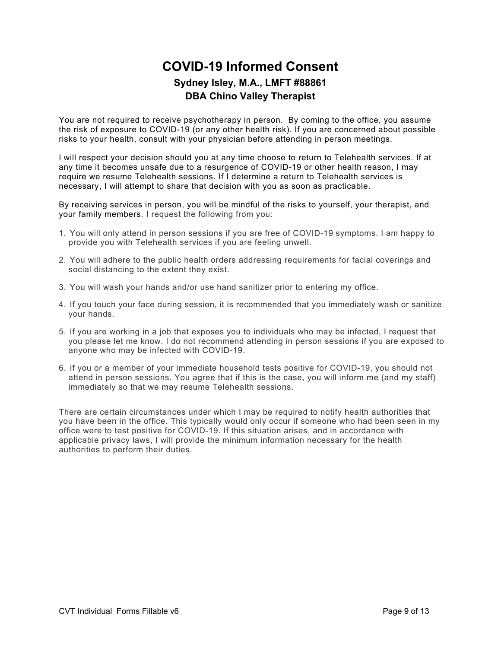# **COVID-19 Informed Consent Sydney Isley, M.A., LMFT #88861 DBA Chino Valley Therapist**

You are not required to receive psychotherapy in person. By coming to the office, you assume the risk of exposure to COVID-19 (or any other health risk). If you are concerned about possible risks to your health, consult with your physician before attending in person meetings.

I will respect your decision should you at any time choose to return to Telehealth services. If at any time it becomes unsafe due to a resurgence of COVID-19 or other health reason, I may require we resume Telehealth sessions. If I determine a return to Telehealth services is necessary, I will attempt to share that decision with you as soon as practicable.

By receiving services in person, you will be mindful of the risks to yourself, your therapist, and your family members. I request the following from you:

- 1. You will only attend in person sessions if you are free of COVID-19 symptoms. I am happy to provide you with Telehealth services if you are feeling unwell.
- 2. You will adhere to the public health orders addressing requirements for facial coverings and social distancing to the extent they exist.
- 3. You will wash your hands and/or use hand sanitizer prior to entering my office.
- 4. If you touch your face during session, it is recommended that you immediately wash or sanitize your hands.
- 5. If you are working in a job that exposes you to individuals who may be infected, I request that you please let me know. I do not recommend attending in person sessions if you are exposed to anyone who may be infected with COVID-19.
- 6. If you or a member of your immediate household tests positive for COVID-19, you should not attend in person sessions. You agree that if this is the case, you will inform me (and my staff) immediately so that we may resume Telehealth sessions.

There are certain circumstances under which I may be required to notify health authorities that you have been in the office. This typically would only occur if someone who had been seen in my office were to test positive for COVID-19. If this situation arises, and in accordance with applicable privacy laws, I will provide the minimum information necessary for the health authorities to perform their duties.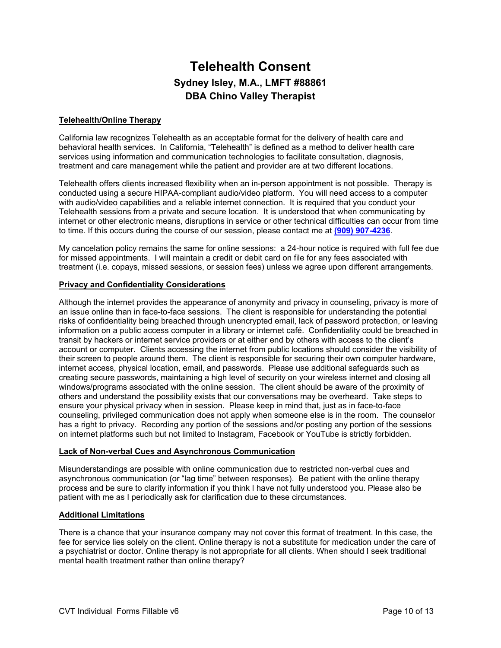# **Telehealth Consent Sydney Isley, M.A., LMFT #88861 DBA Chino Valley Therapist**

# **Telehealth/Online Therapy**

California law recognizes Telehealth as an acceptable format for the delivery of health care and behavioral health services. In California, "Telehealth" is defined as a method to deliver health care services using information and communication technologies to facilitate consultation, diagnosis, treatment and care management while the patient and provider are at two different locations.

Telehealth offers clients increased flexibility when an in-person appointment is not possible. Therapy is conducted using a secure HIPAA-compliant audio/video platform. You will need access to a computer with audio/video capabilities and a reliable internet connection. It is required that you conduct your Telehealth sessions from a private and secure location. It is understood that when communicating by internet or other electronic means, disruptions in service or other technical difficulties can occur from time to time. If this occurs during the course of our session, please contact me at **(909) 907-4236**.

My cancelation policy remains the same for online sessions: a 24-hour notice is required with full fee due for missed appointments. I will maintain a credit or debit card on file for any fees associated with treatment (i.e. copays, missed sessions, or session fees) unless we agree upon different arrangements.

## **Privacy and Confidentiality Considerations**

Although the internet provides the appearance of anonymity and privacy in counseling, privacy is more of an issue online than in face-to-face sessions. The client is responsible for understanding the potential risks of confidentiality being breached through unencrypted email, lack of password protection, or leaving information on a public access computer in a library or internet café. Confidentiality could be breached in transit by hackers or internet service providers or at either end by others with access to the client's account or computer. Clients accessing the internet from public locations should consider the visibility of their screen to people around them. The client is responsible for securing their own computer hardware, internet access, physical location, email, and passwords. Please use additional safeguards such as creating secure passwords, maintaining a high level of security on your wireless internet and closing all windows/programs associated with the online session. The client should be aware of the proximity of others and understand the possibility exists that our conversations may be overheard. Take steps to ensure your physical privacy when in session. Please keep in mind that, just as in face-to-face counseling, privileged communication does not apply when someone else is in the room. The counselor has a right to privacy. Recording any portion of the sessions and/or posting any portion of the sessions on internet platforms such but not limited to Instagram, Facebook or YouTube is strictly forbidden.

## **Lack of Non-verbal Cues and Asynchronous Communication**

Misunderstandings are possible with online communication due to restricted non-verbal cues and asynchronous communication (or "lag time" between responses). Be patient with the online therapy process and be sure to clarify information if you think I have not fully understood you. Please also be patient with me as I periodically ask for clarification due to these circumstances.

## **Additional Limitations**

There is a chance that your insurance company may not cover this format of treatment. In this case, the fee for service lies solely on the client. Online therapy is not a substitute for medication under the care of a psychiatrist or doctor. Online therapy is not appropriate for all clients. When should I seek traditional mental health treatment rather than online therapy?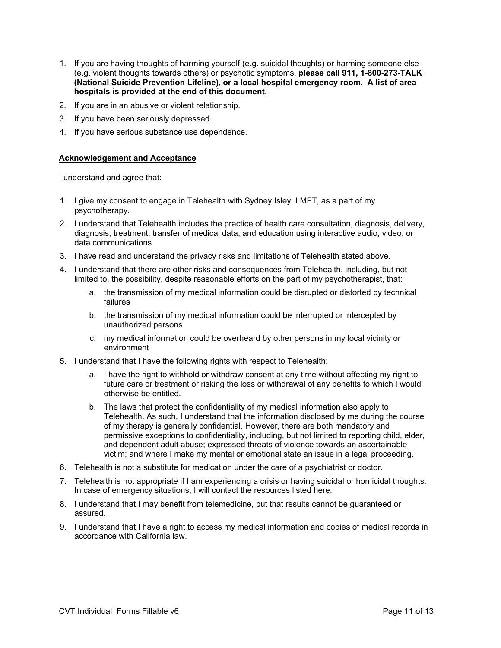- 1. If you are having thoughts of harming yourself (e.g. suicidal thoughts) or harming someone else (e.g. violent thoughts towards others) or psychotic symptoms, **please call 911, 1-800-273-TALK (National Suicide Prevention Lifeline), or a local hospital emergency room. A list of area hospitals is provided at the end of this document.**
- 2. If you are in an abusive or violent relationship.
- 3. If you have been seriously depressed.
- 4. If you have serious substance use dependence.

# **Acknowledgement and Acceptance**

I understand and agree that:

- 1. I give my consent to engage in Telehealth with Sydney Isley, LMFT, as a part of my psychotherapy.
- 2. I understand that Telehealth includes the practice of health care consultation, diagnosis, delivery, diagnosis, treatment, transfer of medical data, and education using interactive audio, video, or data communications.
- 3. I have read and understand the privacy risks and limitations of Telehealth stated above.
- 4. I understand that there are other risks and consequences from Telehealth, including, but not limited to, the possibility, despite reasonable efforts on the part of my psychotherapist, that:
	- a. the transmission of my medical information could be disrupted or distorted by technical failures
	- b. the transmission of my medical information could be interrupted or intercepted by unauthorized persons
	- c. my medical information could be overheard by other persons in my local vicinity or environment
- 5. I understand that I have the following rights with respect to Telehealth:
	- a. I have the right to withhold or withdraw consent at any time without affecting my right to future care or treatment or risking the loss or withdrawal of any benefits to which I would otherwise be entitled.
	- b. The laws that protect the confidentiality of my medical information also apply to Telehealth. As such, I understand that the information disclosed by me during the course of my therapy is generally confidential. However, there are both mandatory and permissive exceptions to confidentiality, including, but not limited to reporting child, elder, and dependent adult abuse; expressed threats of violence towards an ascertainable victim; and where I make my mental or emotional state an issue in a legal proceeding.
- 6. Telehealth is not a substitute for medication under the care of a psychiatrist or doctor.
- 7. Telehealth is not appropriate if I am experiencing a crisis or having suicidal or homicidal thoughts. In case of emergency situations, I will contact the resources listed here.
- 8. I understand that I may benefit from telemedicine, but that results cannot be guaranteed or assured.
- 9. I understand that I have a right to access my medical information and copies of medical records in accordance with California law.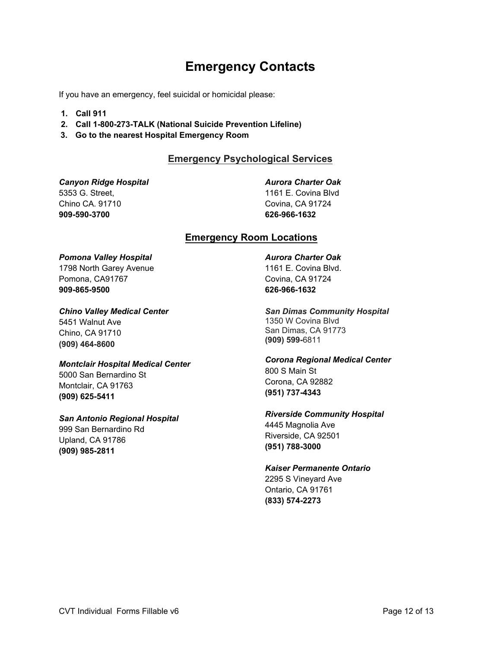# **Emergency Contacts**

If you have an emergency, feel suicidal or homicidal please:

- **1. Call 911**
- **2. Call 1-800-273-TALK (National Suicide Prevention Lifeline)**
- **3. Go to the nearest Hospital Emergency Room**

# **Emergency Psychological Services**

*Canyon Ridge Hospital* 5353 G. Street, Chino CA. 91710 **909-590-3700**

*Aurora Charter Oak* 

1161 E. Covina Blvd Covina, CA 91724 **626-966-1632**

# **Emergency Room Locations**

# *Pomona Valley Hospital*

1798 North Garey Avenue Pomona, CA91767 **909-865-9500**

## *Chino Valley Medical Center*

5451 Walnut Ave Chino, CA 91710 **(909) 464-8600**

# *Montclair Hospital Medical Center*

5000 San Bernardino St Montclair, CA 91763 **(909) 625-5411**

# *San Antonio Regional Hospital*

999 San Bernardino Rd Upland, CA 91786 **(909) 985-2811**

*Aurora Charter Oak*  1161 E. Covina Blvd. Covina, CA 91724 **626-966-1632**

*San Dimas Community Hospital*  1350 W Covina Blvd San Dimas, CA 91773 **(909) 599-**6811

*Corona Regional Medical Center*  800 S Main St Corona, CA 92882 **(951) 737-4343**

# *Riverside Community Hospital*  4445 Magnolia Ave

Riverside, CA 92501 **(951) 788-3000**

# *Kaiser Permanente Ontario*

2295 S Vineyard Ave Ontario, CA 91761 **(833) 574-2273**